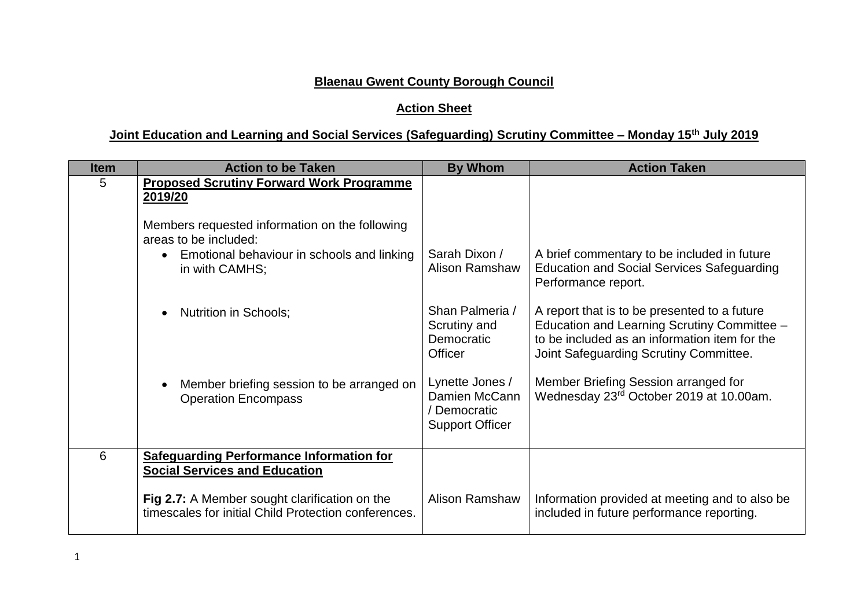## **Blaenau Gwent County Borough Council**

## **Action Sheet**

## **Joint Education and Learning and Social Services (Safeguarding) Scrutiny Committee – Monday 15th July 2019**

| <b>Item</b> | <b>Action to be Taken</b>                                                                                    | <b>By Whom</b>                                                           | <b>Action Taken</b>                                                                                                                                                                    |
|-------------|--------------------------------------------------------------------------------------------------------------|--------------------------------------------------------------------------|----------------------------------------------------------------------------------------------------------------------------------------------------------------------------------------|
| 5           | <b>Proposed Scrutiny Forward Work Programme</b><br>2019/20<br>Members requested information on the following |                                                                          |                                                                                                                                                                                        |
|             | areas to be included:<br>Emotional behaviour in schools and linking<br>$\bullet$<br>in with CAMHS;           | Sarah Dixon /<br>Alison Ramshaw                                          | A brief commentary to be included in future<br><b>Education and Social Services Safeguarding</b><br>Performance report.                                                                |
|             | <b>Nutrition in Schools;</b><br>$\bullet$                                                                    | Shan Palmeria /<br>Scrutiny and<br>Democratic<br>Officer                 | A report that is to be presented to a future<br>Education and Learning Scrutiny Committee -<br>to be included as an information item for the<br>Joint Safeguarding Scrutiny Committee. |
|             | Member briefing session to be arranged on<br>$\bullet$<br><b>Operation Encompass</b>                         | Lynette Jones /<br>Damien McCann<br>Democratic<br><b>Support Officer</b> | Member Briefing Session arranged for<br>Wednesday 23rd October 2019 at 10.00am.                                                                                                        |
| 6           | <b>Safeguarding Performance Information for</b><br><b>Social Services and Education</b>                      |                                                                          |                                                                                                                                                                                        |
|             | Fig 2.7: A Member sought clarification on the<br>timescales for initial Child Protection conferences.        | <b>Alison Ramshaw</b>                                                    | Information provided at meeting and to also be<br>included in future performance reporting.                                                                                            |